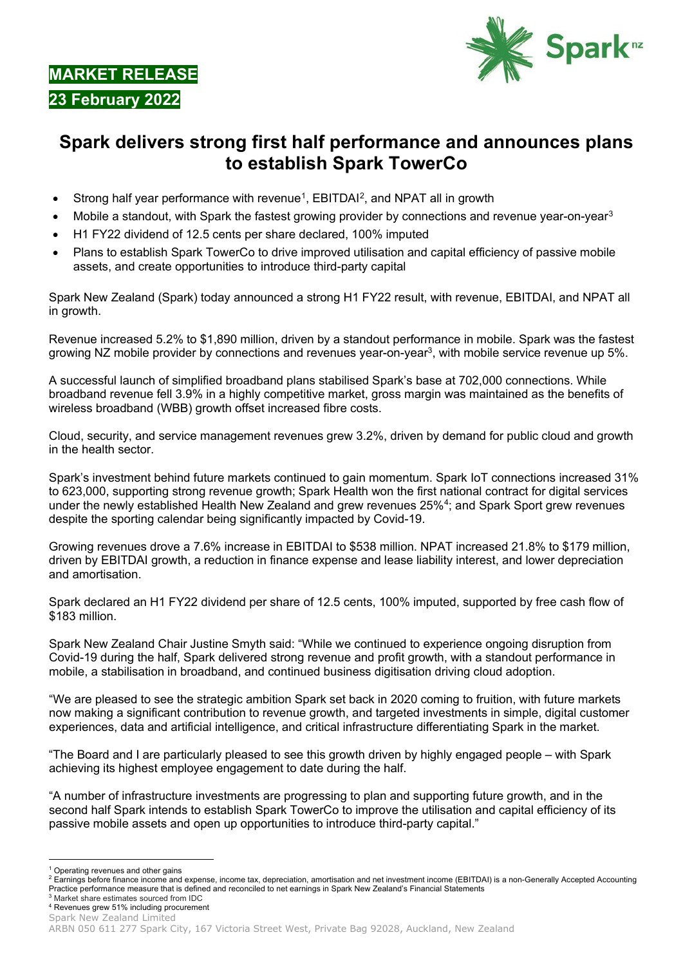**MARKET RELEASE 23 February 2022**

<span id="page-0-0"></span>

## **Spark delivers strong first half performance and announces plans to establish Spark TowerCo**

- Strong half year performance with revenue<sup>1</sup>, EBITDAI<sup>2</sup>, and NPAT all in growth
- Mobile a standout, with Spark the fastest growing provider by connections and revenue year-on-year<sup>[3](#page-0-3)</sup>
- H1 FY22 dividend of 12.5 cents per share declared, 100% imputed
- Plans to establish Spark TowerCo to drive improved utilisation and capital efficiency of passive mobile assets, and create opportunities to introduce third-party capital

Spark New Zealand (Spark) today announced a strong H1 FY22 result, with revenue, EBITDAI, and NPAT all in growth.

Revenue increased 5.2% to \$1,890 million, driven by a standout performance in mobile. Spark was the fastest growing NZ mobile provider by connections and revenues year-on-year<sup>3</sup>, with mobile service revenue up 5%.

A successful launch of simplified broadband plans stabilised Spark's base at 702,000 connections. While broadband revenue fell 3.9% in a highly competitive market, gross margin was maintained as the benefits of wireless broadband (WBB) growth offset increased fibre costs.

Cloud, security, and service management revenues grew 3.2%, driven by demand for public cloud and growth in the health sector.

Spark's investment behind future markets continued to gain momentum. Spark IoT connections increased 31% to 623,000, supporting strong revenue growth; Spark Health won the first national contract for digital services under the newly established Health New Zealand and grew revenues 25[%4](#page-0-4); and Spark Sport grew revenues despite the sporting calendar being significantly impacted by Covid-19.

Growing revenues drove a 7.6% increase in EBITDAI to \$538 million. NPAT increased 21.8% to \$179 million, driven by EBITDAI growth, a reduction in finance expense and lease liability interest, and lower depreciation and amortisation.

Spark declared an H1 FY22 dividend per share of 12.5 cents, 100% imputed, supported by free cash flow of \$183 million.

Spark New Zealand Chair Justine Smyth said: "While we continued to experience ongoing disruption from Covid-19 during the half, Spark delivered strong revenue and profit growth, with a standout performance in mobile, a stabilisation in broadband, and continued business digitisation driving cloud adoption.

"We are pleased to see the strategic ambition Spark set back in 2020 coming to fruition, with future markets now making a significant contribution to revenue growth, and targeted investments in simple, digital customer experiences, data and artificial intelligence, and critical infrastructure differentiating Spark in the market.

"The Board and I are particularly pleased to see this growth driven by highly engaged people – with Spark achieving its highest employee engagement to date during the half.

"A number of infrastructure investments are progressing to plan and supporting future growth, and in the second half Spark intends to establish Spark TowerCo to improve the utilisation and capital efficiency of its passive mobile assets and open up opportunities to introduce third-party capital."

<sup>&</sup>lt;sup>1</sup> Operating revenues and other gains

<span id="page-0-2"></span><span id="page-0-1"></span><sup>&</sup>lt;sup>2</sup> Earnings before finance income and expense, income tax, depreciation, amortisation and net investment income (EBITDAI) is a non-Generally Accepted Accounting Practice performance measure that is defined and reconciled to net earnings in Spark New Zealand's Financial Statements

<span id="page-0-4"></span><span id="page-0-3"></span><sup>3</sup> Market share estimates sourced from IDC <sup>4</sup> Revenues grew 51% including procurement

Spark New Zealand Limited

ARBN 050 611 277 Spark City, 167 Victoria Street West, Private Bag 92028, Auckland, New Zealand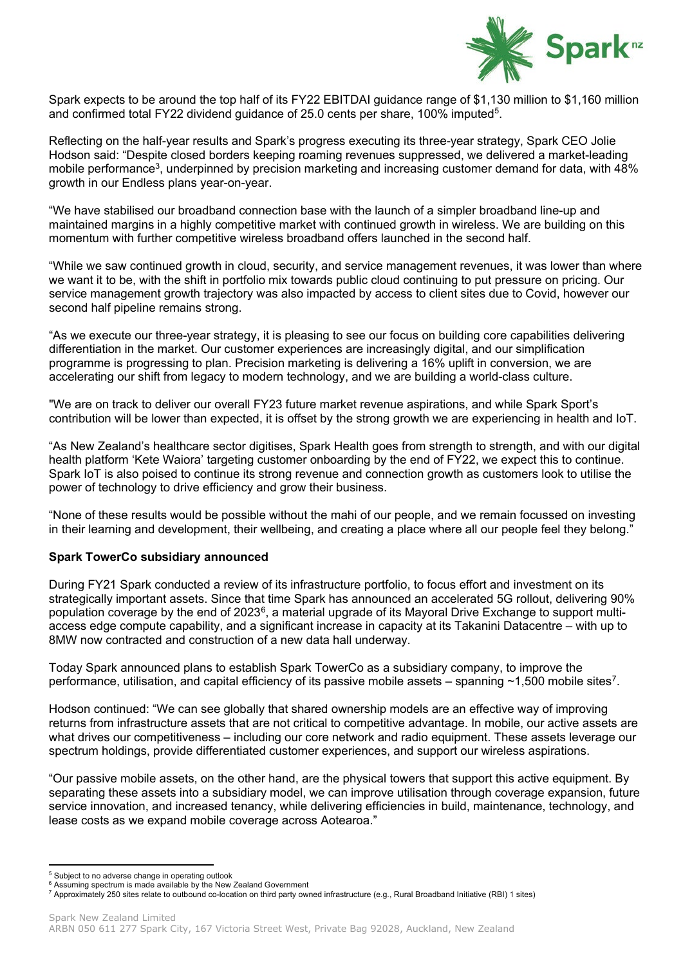

Spark expects to be around the top half of its FY22 EBITDAI guidance range of \$1,130 million to \$1,160 million and confirmed total FY22 dividend guidance of 25.0 cents per share, 100% imputed[5](#page-1-0).

Reflecting on the half-year results and Spark's progress executing its three-year strategy, Spark CEO Jolie Hodson said: "Despite closed borders keeping roaming revenues suppressed, we delivered a market-leading mobile performance<sup>3</sup>, underpinned by precision marketing and increasing customer demand for data, with 48% growth in our Endless plans year-on-year.

"We have stabilised our broadband connection base with the launch of a simpler broadband line-up and maintained margins in a highly competitive market with continued growth in wireless. We are building on this momentum with further competitive wireless broadband offers launched in the second half.

"While we saw continued growth in cloud, security, and service management revenues, it was lower than where we want it to be, with the shift in portfolio mix towards public cloud continuing to put pressure on pricing. Our service management growth trajectory was also impacted by access to client sites due to Covid, however our second half pipeline remains strong.

"As we execute our three-year strategy, it is pleasing to see our focus on building core capabilities delivering differentiation in the market. Our customer experiences are increasingly digital, and our simplification programme is progressing to plan. Precision marketing is delivering a 16% uplift in conversion, we are accelerating our shift from legacy to modern technology, and we are building a world-class culture.

"We are on track to deliver our overall FY23 future market revenue aspirations, and while Spark Sport's contribution will be lower than expected, it is offset by the strong growth we are experiencing in health and IoT.

"As New Zealand's healthcare sector digitises, Spark Health goes from strength to strength, and with our digital health platform 'Kete Waiora' targeting customer onboarding by the end of FY22, we expect this to continue. Spark IoT is also poised to continue its strong revenue and connection growth as customers look to utilise the power of technology to drive efficiency and grow their business.

"None of these results would be possible without the mahi of our people, and we remain focussed on investing in their learning and development, their wellbeing, and creating a place where all our people feel they belong."

## **Spark TowerCo subsidiary announced**

During FY21 Spark conducted a review of its infrastructure portfolio, to focus effort and investment on its strategically important assets. Since that time Spark has announced an accelerated 5G rollout, delivering 90% population coverage by the end of 2023[6,](#page-1-1) a material upgrade of its Mayoral Drive Exchange to support multiaccess edge compute capability, and a significant increase in capacity at its Takanini Datacentre – with up to 8MW now contracted and construction of a new data hall underway.

Today Spark announced plans to establish Spark TowerCo as a subsidiary company, to improve the performance, utilisation, and capital efficiency of its passive mobile assets – spanning  $\sim$ 1,500 mobile sites<sup>7</sup>.

Hodson continued: "We can see globally that shared ownership models are an effective way of improving returns from infrastructure assets that are not critical to competitive advantage. In mobile, our active assets are what drives our competitiveness – including our core network and radio equipment. These assets leverage our spectrum holdings, provide differentiated customer experiences, and support our wireless aspirations.

"Our passive mobile assets, on the other hand, are the physical towers that support this active equipment. By separating these assets into a subsidiary model, we can improve utilisation through coverage expansion, future service innovation, and increased tenancy, while delivering efficiencies in build, maintenance, technology, and lease costs as we expand mobile coverage across Aotearoa."

<sup>5</sup> Subject to no adverse change in operating outlook

<span id="page-1-2"></span><span id="page-1-1"></span><span id="page-1-0"></span><sup>&</sup>lt;sup>6</sup> Assuming spectrum is made available by the New Zealand Government

<sup>7</sup> Approximately 250 sites relate to outbound co-location on third party owned infrastructure (e.g., Rural Broadband Initiative (RBI) 1 sites)